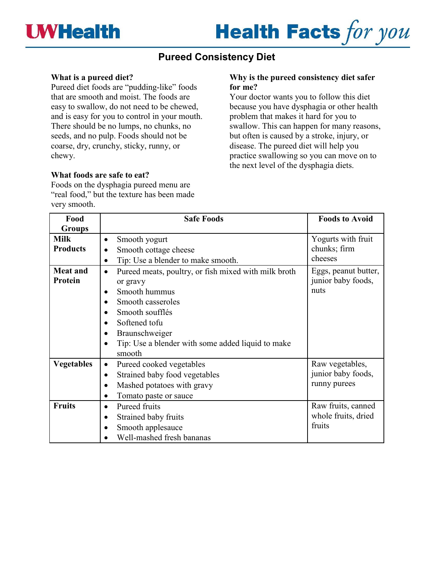

# **Health Facts for you**

## **Pureed Consistency Diet**

### **What is a pureed diet?**

Pureed diet foods are "pudding-like" foods that are smooth and moist. The foods are easy to swallow, do not need to be chewed, and is easy for you to control in your mouth. There should be no lumps, no chunks, no seeds, and no pulp. Foods should not be coarse, dry, crunchy, sticky, runny, or chewy.

### **What foods are safe to eat?**

Foods on the dysphagia pureed menu are "real food," but the texture has been made very smooth.

#### **Why is the pureed consistency diet safer for me?**

Your doctor wants you to follow this diet because you have dysphagia or other health problem that makes it hard for you to swallow. This can happen for many reasons, but often is caused by a stroke, injury, or disease. The pureed diet will help you practice swallowing so you can move on to the next level of the dysphagia diets.

| Food              | <b>Safe Foods</b>                                                 | <b>Foods to Avoid</b> |
|-------------------|-------------------------------------------------------------------|-----------------------|
| <b>Groups</b>     |                                                                   |                       |
| <b>Milk</b>       | Smooth yogurt<br>$\bullet$                                        | Yogurts with fruit    |
| <b>Products</b>   | Smooth cottage cheese<br>$\bullet$                                | chunks; firm          |
|                   | Tip: Use a blender to make smooth.<br>$\bullet$                   | cheeses               |
| <b>Meat and</b>   | Pureed meats, poultry, or fish mixed with milk broth<br>$\bullet$ | Eggs, peanut butter,  |
| Protein           | or gravy                                                          | junior baby foods,    |
|                   | Smooth hummus<br>$\bullet$                                        | nuts                  |
|                   | Smooth casseroles                                                 |                       |
|                   | Smooth soufflés<br>$\bullet$                                      |                       |
|                   | Softened tofu<br>$\bullet$                                        |                       |
|                   | Braunschweiger                                                    |                       |
|                   | Tip: Use a blender with some added liquid to make<br>$\bullet$    |                       |
|                   | smooth                                                            |                       |
| <b>Vegetables</b> | Pureed cooked vegetables<br>$\bullet$                             | Raw vegetables,       |
|                   | Strained baby food vegetables<br>$\bullet$                        | junior baby foods,    |
|                   | Mashed potatoes with gravy<br>$\bullet$                           | runny purees          |
|                   | Tomato paste or sauce<br>$\bullet$                                |                       |
| <b>Fruits</b>     | Pureed fruits<br>$\bullet$                                        | Raw fruits, canned    |
|                   | Strained baby fruits                                              | whole fruits, dried   |
|                   | Smooth applesauce                                                 | fruits                |
|                   | Well-mashed fresh bananas                                         |                       |